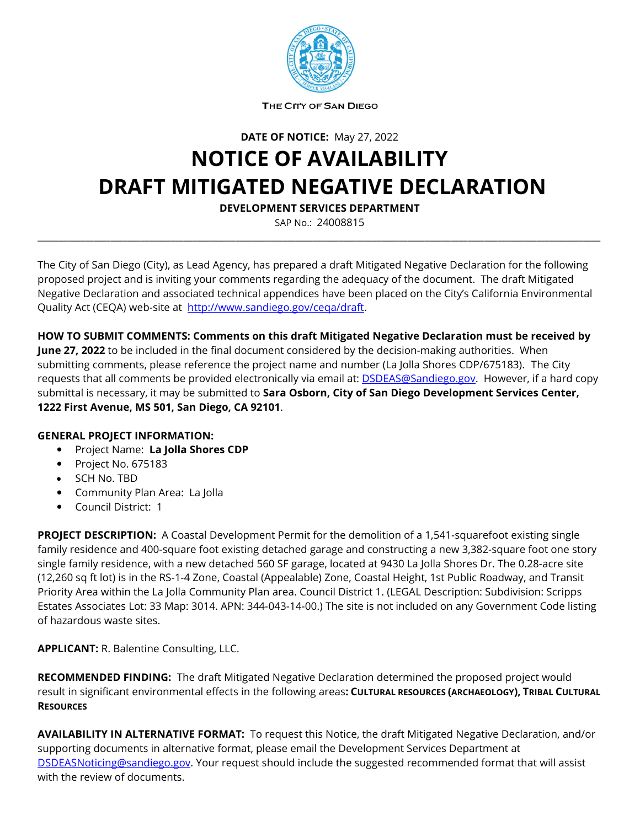

THE CITY OF SAN DIEGO

**DATE OF NOTICE:** May 27, 2022

## **NOTICE OF AVAILABILITY DRAFT MITIGATED NEGATIVE DECLARATION**

**DEVELOPMENT SERVICES DEPARTMENT**

SAP No.: 24008815 **\_\_\_\_\_\_\_\_\_\_\_\_\_\_\_\_\_\_\_\_\_\_\_\_\_\_\_\_\_\_\_\_\_\_\_\_\_\_\_\_\_\_\_\_\_\_\_\_\_\_\_\_\_\_\_\_\_\_\_\_\_\_\_\_\_\_\_\_\_\_\_\_\_\_\_\_\_\_\_\_\_\_\_\_\_\_\_\_\_\_\_\_\_\_\_\_\_\_\_\_\_\_\_\_\_\_\_\_\_\_\_\_\_\_\_\_\_\_\_\_\_\_\_\_\_\_\_\_\_\_\_**

The City of San Diego (City), as Lead Agency, has prepared a draft Mitigated Negative Declaration for the following proposed project and is inviting your comments regarding the adequacy of the document. The draft Mitigated Negative Declaration and associated technical appendices have been placed on the City's California Environmental Quality Act (CEQA) web-site at [http://www.sandiego.gov/ceqa/draft.](http://www.sandiego.gov/ceqa/draft)

**HOW TO SUBMIT COMMENTS: Comments on this draft Mitigated Negative Declaration must be received by June 27, 2022** to be included in the final document considered by the decision-making authorities. When submitting comments, please reference the project name and number (La Jolla Shores CDP/675183). The City requests that all comments be provided electronically via email at: **DSDEAS@Sandiego.gov**. However, if a hard copy submittal is necessary, it may be submitted to **Sara Osborn, City of San Diego Development Services Center, 1222 First Avenue, MS 501, San Diego, CA 92101**.

## **GENERAL PROJECT INFORMATION:**

- Project Name: **La Jolla Shores CDP**
- Project No. 675183
- SCH No. TBD
- Community Plan Area: La Jolla
- Council District: 1

**PROJECT DESCRIPTION:** A Coastal Development Permit for the demolition of a 1,541-squarefoot existing single family residence and 400-square foot existing detached garage and constructing a new 3,382-square foot one story single family residence, with a new detached 560 SF garage, located at 9430 La Jolla Shores Dr. The 0.28-acre site (12,260 sq ft lot) is in the RS-1-4 Zone, Coastal (Appealable) Zone, Coastal Height, 1st Public Roadway, and Transit Priority Area within the La Jolla Community Plan area. Council District 1. (LEGAL Description: Subdivision: Scripps Estates Associates Lot: 33 Map: 3014. APN: 344-043-14-00.) The site is not included on any Government Code listing of hazardous waste sites.

**APPLICANT:** R. Balentine Consulting, LLC.

**RECOMMENDED FINDING:** The draft Mitigated Negative Declaration determined the proposed project would result in significant environmental effects in the following areas**: CULTURAL RESOURCES (ARCHAEOLOGY), TRIBAL CULTURAL RESOURCES**

**AVAILABILITY IN ALTERNATIVE FORMAT:** To request this Notice, the draft Mitigated Negative Declaration, and/or supporting documents in alternative format, please email the Development Services Department at [DSDEASNoticing@sandiego.gov.](mailto:DSDEASNoticing@sandiego.gov) Your request should include the suggested recommended format that will assist with the review of documents.